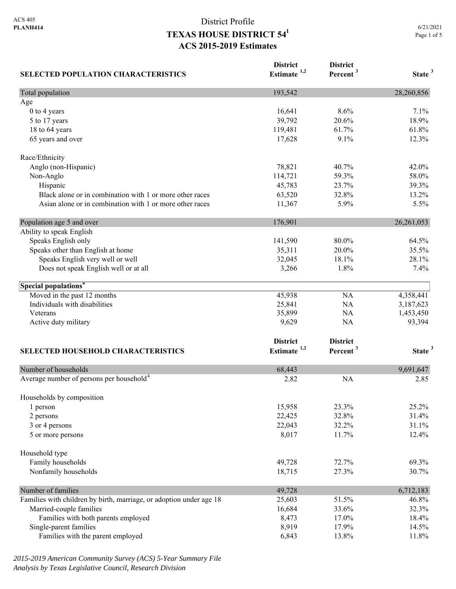| <b>SELECTED POPULATION CHARACTERISTICS</b>                          | <b>District</b><br>Estimate $1,2$ | <b>District</b><br>Percent <sup>3</sup> | State <sup>3</sup> |
|---------------------------------------------------------------------|-----------------------------------|-----------------------------------------|--------------------|
| Total population                                                    | 193,542                           |                                         | 28,260,856         |
| Age                                                                 |                                   |                                         |                    |
| 0 to 4 years                                                        | 16,641                            | 8.6%                                    | 7.1%               |
| 5 to 17 years                                                       | 39,792                            | 20.6%                                   | 18.9%              |
| 18 to 64 years                                                      | 119,481                           | 61.7%                                   | 61.8%              |
| 65 years and over                                                   | 17,628                            | 9.1%                                    | 12.3%              |
| Race/Ethnicity                                                      |                                   |                                         |                    |
| Anglo (non-Hispanic)                                                | 78,821                            | 40.7%                                   | 42.0%              |
| Non-Anglo                                                           | 114,721                           | 59.3%                                   | 58.0%              |
| Hispanic                                                            | 45,783                            | 23.7%                                   | 39.3%              |
| Black alone or in combination with 1 or more other races            | 63,520                            | 32.8%                                   | 13.2%              |
| Asian alone or in combination with 1 or more other races            | 11,367                            | 5.9%                                    | 5.5%               |
| Population age 5 and over                                           | 176,901                           |                                         | 26, 261, 053       |
| Ability to speak English                                            |                                   |                                         |                    |
| Speaks English only                                                 | 141,590                           | 80.0%                                   | 64.5%              |
| Speaks other than English at home                                   | 35,311                            | 20.0%                                   | 35.5%              |
| Speaks English very well or well                                    | 32,045                            | 18.1%                                   | 28.1%              |
| Does not speak English well or at all                               | 3,266                             | 1.8%                                    | 7.4%               |
| Special populations <sup>4</sup>                                    |                                   |                                         |                    |
| Moved in the past 12 months                                         | 45,938                            | NA                                      | 4,358,441          |
| Individuals with disabilities                                       | 25,841                            | NA                                      | 3,187,623          |
| Veterans                                                            | 35,899                            | NA                                      | 1,453,450          |
| Active duty military                                                | 9,629                             | NA                                      | 93,394             |
|                                                                     | <b>District</b>                   | <b>District</b>                         |                    |
| SELECTED HOUSEHOLD CHARACTERISTICS                                  | Estimate <sup>1,2</sup>           | Percent <sup>3</sup>                    | State <sup>3</sup> |
|                                                                     |                                   |                                         |                    |
| Number of households                                                | 68,443                            |                                         | 9,691,647          |
| Average number of persons per household <sup>4</sup>                | 2.82                              | <b>NA</b>                               | 2.85               |
| Households by composition                                           |                                   |                                         |                    |
| 1 person                                                            | 15,958                            | 23.3%                                   | 25.2%              |
| 2 persons                                                           | 22,425                            | 32.8%                                   | 31.4%              |
| 3 or 4 persons                                                      | 22,043                            | 32.2%                                   | 31.1%              |
| 5 or more persons                                                   | 8,017                             | 11.7%                                   | 12.4%              |
| Household type                                                      |                                   |                                         |                    |
| Family households                                                   | 49,728                            | 72.7%                                   | 69.3%              |
| Nonfamily households                                                | 18,715                            | 27.3%                                   | 30.7%              |
| Number of families                                                  | 49,728                            |                                         | 6,712,183          |
| Families with children by birth, marriage, or adoption under age 18 | 25,603                            | 51.5%                                   | 46.8%              |
| Married-couple families                                             | 16,684                            | 33.6%                                   | 32.3%              |
| Families with both parents employed                                 | 8,473                             | 17.0%                                   | 18.4%              |
| Single-parent families                                              | 8,919                             | 17.9%                                   | 14.5%              |
| Families with the parent employed                                   | 6,843                             | 13.8%                                   | 11.8%              |

*2015-2019 American Community Survey (ACS) 5-Year Summary File Analysis by Texas Legislative Council, Research Division*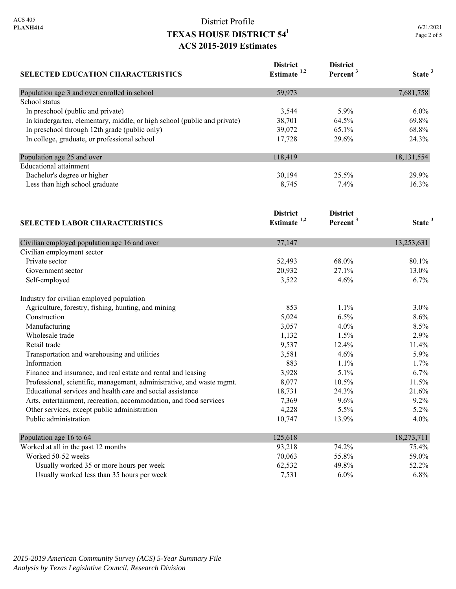| <b>SELECTED EDUCATION CHARACTERISTICS</b>                                | <b>District</b><br>Estimate <sup>1,2</sup> | <b>District</b><br>Percent <sup>3</sup> | State <sup>3</sup> |
|--------------------------------------------------------------------------|--------------------------------------------|-----------------------------------------|--------------------|
| Population age 3 and over enrolled in school                             | 59,973                                     |                                         | 7,681,758          |
| School status                                                            |                                            |                                         |                    |
| In preschool (public and private)                                        | 3,544                                      | 5.9%                                    | $6.0\%$            |
| In kindergarten, elementary, middle, or high school (public and private) | 38,701                                     | 64.5%                                   | 69.8%              |
| In preschool through 12th grade (public only)                            | 39,072                                     | 65.1%                                   | 68.8%              |
| In college, graduate, or professional school                             | 17,728                                     | 29.6%                                   | 24.3%              |
| Population age 25 and over                                               | 118,419                                    |                                         | 18, 131, 554       |
| <b>Educational</b> attainment                                            |                                            |                                         |                    |
| Bachelor's degree or higher                                              | 30,194                                     | 25.5%                                   | 29.9%              |
| Less than high school graduate                                           | 8,745                                      | 7.4%                                    | 16.3%              |
| <b>SELECTED LABOR CHARACTERISTICS</b>                                    | <b>District</b><br>Estimate <sup>1,2</sup> | <b>District</b><br>Percent <sup>3</sup> | State <sup>3</sup> |
| Civilian employed population age 16 and over                             | 77,147                                     |                                         | 13,253,631         |
| Civilian employment sector                                               |                                            |                                         |                    |
| Private sector                                                           | 52,493                                     | 68.0%                                   | 80.1%              |
| Government sector                                                        | 20,932                                     | 27.1%                                   | 13.0%              |
| Self-employed                                                            | 3,522                                      | 4.6%                                    | 6.7%               |
| Industry for civilian employed population                                |                                            |                                         |                    |
| Agriculture, forestry, fishing, hunting, and mining                      | 853                                        | 1.1%                                    | $3.0\%$            |
| Construction                                                             | 5,024                                      | 6.5%                                    | 8.6%               |
| Manufacturing                                                            | 3,057                                      | 4.0%                                    | $8.5\%$            |
| Wholesale trade                                                          | 1,132                                      | 1.5%                                    | 2.9%               |
| Retail trade                                                             | 9,537                                      | 12.4%                                   | 11.4%              |
| Transportation and warehousing and utilities                             | 3,581                                      | 4.6%                                    | 5.9%               |
| Information                                                              | 883                                        | 1.1%                                    | 1.7%               |
| Finance and insurance, and real estate and rental and leasing            | 3,928                                      | 5.1%                                    | 6.7%               |
| Professional, scientific, management, administrative, and waste mgmt.    | 8,077                                      | 10.5%                                   | 11.5%              |
| Educational services and health care and social assistance               | 18,731                                     | 24.3%                                   | 21.6%              |

| Public administration                      | 10.747  | 13.9%   | $4.0\%$    |
|--------------------------------------------|---------|---------|------------|
| Population age 16 to 64                    | 125,618 |         | 18,273,711 |
| Worked at all in the past 12 months        | 93.218  | 74.2%   | 75.4%      |
| Worked 50-52 weeks                         | 70,063  | 55.8%   | 59.0%      |
| Usually worked 35 or more hours per week   | 62,532  | 49.8%   | 52.2%      |
| Usually worked less than 35 hours per week | 7,531   | $6.0\%$ | $6.8\%$    |

Arts, entertainment, recreation, accommodation, and food services 7,369 9.6% 9.2% 9.2% Other services, except public administration  $4,228$   $5.5\%$   $5.2\%$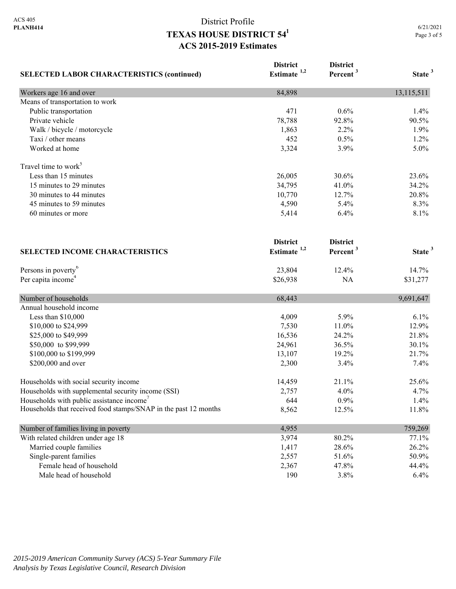| <b>SELECTED LABOR CHARACTERISTICS (continued)</b>               | <b>District</b><br>Estimate <sup>1,2</sup> | <b>District</b><br>Percent <sup>3</sup> | State <sup>3</sup> |
|-----------------------------------------------------------------|--------------------------------------------|-----------------------------------------|--------------------|
| Workers age 16 and over                                         | 84,898                                     |                                         | 13,115,511         |
| Means of transportation to work                                 |                                            |                                         |                    |
| Public transportation                                           | 471                                        | 0.6%                                    | 1.4%               |
| Private vehicle                                                 | 78,788                                     | 92.8%                                   | 90.5%              |
| Walk / bicycle / motorcycle                                     | 1,863                                      | 2.2%                                    | 1.9%               |
| Taxi / other means                                              | 452                                        | 0.5%                                    | 1.2%               |
| Worked at home                                                  | 3,324                                      | 3.9%                                    | 5.0%               |
| Travel time to work <sup>5</sup>                                |                                            |                                         |                    |
| Less than 15 minutes                                            | 26,005                                     | 30.6%                                   | 23.6%              |
| 15 minutes to 29 minutes                                        | 34,795                                     | 41.0%                                   | 34.2%              |
| 30 minutes to 44 minutes                                        | 10,770                                     | 12.7%                                   | 20.8%              |
| 45 minutes to 59 minutes                                        | 4,590                                      | 5.4%                                    | 8.3%               |
| 60 minutes or more                                              | 5,414                                      | 6.4%                                    | 8.1%               |
|                                                                 | <b>District</b>                            | <b>District</b>                         |                    |
| <b>SELECTED INCOME CHARACTERISTICS</b>                          | Estimate $1,2$                             | Percent <sup>3</sup>                    | State <sup>3</sup> |
| Persons in poverty <sup>6</sup>                                 | 23,804                                     | 12.4%                                   | 14.7%              |
| Per capita income <sup>4</sup>                                  | \$26,938                                   | NA                                      | \$31,277           |
| Number of households                                            | 68,443                                     |                                         | 9,691,647          |
| Annual household income                                         |                                            |                                         |                    |
| Less than \$10,000                                              | 4,009                                      | 5.9%                                    | 6.1%               |
| \$10,000 to \$24,999                                            | 7,530                                      | 11.0%                                   | 12.9%              |
| \$25,000 to \$49,999                                            | 16,536                                     | 24.2%                                   | 21.8%              |
| \$50,000 to \$99,999                                            | 24,961                                     | 36.5%                                   | 30.1%              |
| \$100,000 to \$199,999                                          | 13,107                                     | 19.2%                                   | 21.7%              |
| \$200,000 and over                                              | 2,300                                      | 3.4%                                    | 7.4%               |
| Households with social security income                          | 14,459                                     | 21.1%                                   | 25.6%              |
| Households with supplemental security income (SSI)              | 2,757                                      | 4.0%                                    | 4.7%               |
| Households with public assistance income <sup>7</sup>           | 644                                        | 0.9%                                    | 1.4%               |
| Households that received food stamps/SNAP in the past 12 months | 8,562                                      | 12.5%                                   | 11.8%              |
| Number of families living in poverty                            | 4,955                                      |                                         | 759,269            |
| With related children under age 18                              | 3,974                                      | 80.2%                                   | 77.1%              |
| Married couple families                                         | 1,417                                      | 28.6%                                   | 26.2%              |
| Single-parent families                                          | 2,557                                      | 51.6%                                   | 50.9%              |
| Female head of household                                        | 2,367                                      | 47.8%                                   | 44.4%              |
| Male head of household                                          | 190                                        | 3.8%                                    | 6.4%               |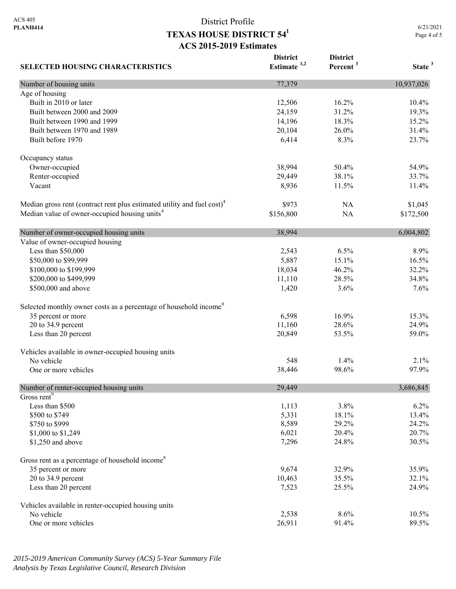6/21/2021 Page 4 of 5

| <b>SELECTED HOUSING CHARACTERISTICS</b>                                             | <b>District</b><br>Estimate $1,2$ | <b>District</b><br>Percent <sup>3</sup> | State <sup>3</sup> |
|-------------------------------------------------------------------------------------|-----------------------------------|-----------------------------------------|--------------------|
| Number of housing units                                                             | 77,379                            |                                         | 10,937,026         |
| Age of housing                                                                      |                                   |                                         |                    |
| Built in 2010 or later                                                              | 12,506                            | 16.2%                                   | 10.4%              |
| Built between 2000 and 2009                                                         | 24,159                            | 31.2%                                   | 19.3%              |
| Built between 1990 and 1999                                                         | 14,196                            | 18.3%                                   | 15.2%              |
| Built between 1970 and 1989                                                         | 20,104                            | 26.0%                                   | 31.4%              |
| Built before 1970                                                                   | 6,414                             | 8.3%                                    | 23.7%              |
| Occupancy status                                                                    |                                   |                                         |                    |
| Owner-occupied                                                                      | 38,994                            | 50.4%                                   | 54.9%              |
| Renter-occupied                                                                     | 29,449                            | 38.1%                                   | 33.7%              |
| Vacant                                                                              | 8,936                             | 11.5%                                   | 11.4%              |
| Median gross rent (contract rent plus estimated utility and fuel cost) <sup>4</sup> | \$973                             | NA                                      | \$1,045            |
| Median value of owner-occupied housing units <sup>4</sup>                           | \$156,800                         | NA                                      | \$172,500          |
| Number of owner-occupied housing units                                              | 38,994                            |                                         | 6,004,802          |
| Value of owner-occupied housing                                                     |                                   |                                         |                    |
| Less than \$50,000                                                                  | 2,543                             | 6.5%                                    | 8.9%               |
| \$50,000 to \$99,999                                                                | 5,887                             | 15.1%                                   | 16.5%              |
| \$100,000 to \$199,999                                                              | 18,034                            | 46.2%                                   | 32.2%              |
| \$200,000 to \$499,999                                                              | 11,110                            | 28.5%                                   | 34.8%              |
| \$500,000 and above                                                                 | 1,420                             | 3.6%                                    | 7.6%               |
| Selected monthly owner costs as a percentage of household income <sup>8</sup>       |                                   |                                         |                    |
| 35 percent or more                                                                  | 6,598                             | 16.9%                                   | 15.3%              |
| 20 to 34.9 percent                                                                  | 11,160                            | 28.6%                                   | 24.9%              |
| Less than 20 percent                                                                | 20,849                            | 53.5%                                   | 59.0%              |
| Vehicles available in owner-occupied housing units                                  |                                   |                                         |                    |
| No vehicle                                                                          | 548                               | 1.4%                                    | 2.1%               |
| One or more vehicles                                                                | 38,446                            | 98.6%                                   | 97.9%              |
| Number of renter-occupied housing units                                             | 29,449                            |                                         | 3,686,845          |
| Gross rent <sup>9</sup>                                                             |                                   |                                         |                    |
| Less than \$500                                                                     | 1,113                             | 3.8%                                    | 6.2%               |
| \$500 to \$749                                                                      | 5,331                             | 18.1%                                   | 13.4%              |
| \$750 to \$999                                                                      | 8,589                             | 29.2%                                   | 24.2%              |
| \$1,000 to \$1,249                                                                  | 6,021                             | 20.4%                                   | 20.7%              |
| \$1,250 and above                                                                   | 7,296                             | 24.8%                                   | 30.5%              |
| Gross rent as a percentage of household income <sup>8</sup>                         |                                   |                                         |                    |
| 35 percent or more                                                                  | 9,674                             | 32.9%                                   | 35.9%              |
| 20 to 34.9 percent                                                                  | 10,463                            | 35.5%                                   | 32.1%              |
| Less than 20 percent                                                                | 7,523                             | 25.5%                                   | 24.9%              |
| Vehicles available in renter-occupied housing units                                 |                                   |                                         |                    |
| No vehicle                                                                          | 2,538                             | 8.6%                                    | 10.5%              |
| One or more vehicles                                                                | 26,911                            | 91.4%                                   | 89.5%              |